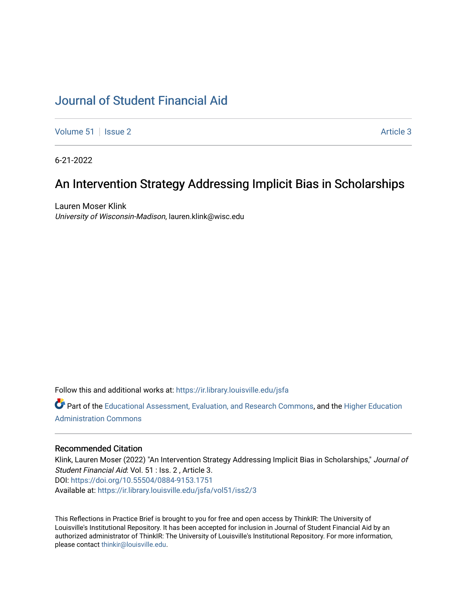## [Journal of Student Financial Aid](https://ir.library.louisville.edu/jsfa)

[Volume 51](https://ir.library.louisville.edu/jsfa/vol51) | [Issue 2](https://ir.library.louisville.edu/jsfa/vol51/iss2) Article 3

6-21-2022

# An Intervention Strategy Addressing Implicit Bias in Scholarships

Lauren Moser Klink University of Wisconsin-Madison, lauren.klink@wisc.edu

Follow this and additional works at: [https://ir.library.louisville.edu/jsfa](https://ir.library.louisville.edu/jsfa?utm_source=ir.library.louisville.edu%2Fjsfa%2Fvol51%2Fiss2%2F3&utm_medium=PDF&utm_campaign=PDFCoverPages) 

Part of the [Educational Assessment, Evaluation, and Research Commons](https://network.bepress.com/hgg/discipline/796?utm_source=ir.library.louisville.edu%2Fjsfa%2Fvol51%2Fiss2%2F3&utm_medium=PDF&utm_campaign=PDFCoverPages), and the [Higher Education](https://network.bepress.com/hgg/discipline/791?utm_source=ir.library.louisville.edu%2Fjsfa%2Fvol51%2Fiss2%2F3&utm_medium=PDF&utm_campaign=PDFCoverPages) [Administration Commons](https://network.bepress.com/hgg/discipline/791?utm_source=ir.library.louisville.edu%2Fjsfa%2Fvol51%2Fiss2%2F3&utm_medium=PDF&utm_campaign=PDFCoverPages) 

#### Recommended Citation

Klink, Lauren Moser (2022) "An Intervention Strategy Addressing Implicit Bias in Scholarships," Journal of Student Financial Aid: Vol. 51 : Iss. 2 , Article 3. DOI:<https://doi.org/10.55504/0884-9153.1751> Available at: [https://ir.library.louisville.edu/jsfa/vol51/iss2/3](https://ir.library.louisville.edu/jsfa/vol51/iss2/3?utm_source=ir.library.louisville.edu%2Fjsfa%2Fvol51%2Fiss2%2F3&utm_medium=PDF&utm_campaign=PDFCoverPages) 

This Reflections in Practice Brief is brought to you for free and open access by ThinkIR: The University of Louisville's Institutional Repository. It has been accepted for inclusion in Journal of Student Financial Aid by an authorized administrator of ThinkIR: The University of Louisville's Institutional Repository. For more information, please contact [thinkir@louisville.edu.](mailto:thinkir@louisville.edu)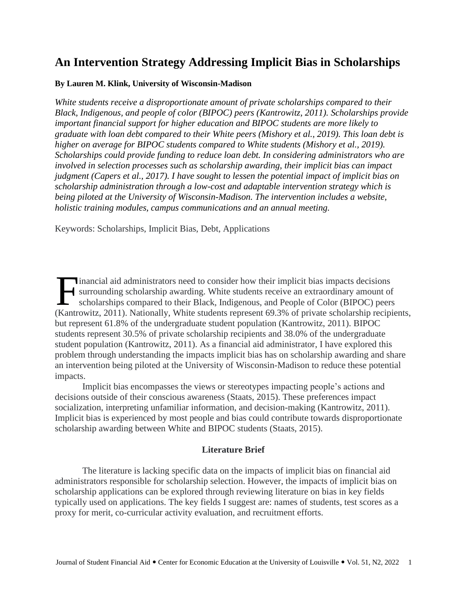## **An Intervention Strategy Addressing Implicit Bias in Scholarships**

#### **By Lauren M. Klink, University of Wisconsin-Madison**

*White students receive a disproportionate amount of private scholarships compared to their Black, Indigenous, and people of color (BIPOC) peers (Kantrowitz, 2011). Scholarships provide important financial support for higher education and BIPOC students are more likely to graduate with loan debt compared to their White peers (Mishory et al., 2019). This loan debt is higher on average for BIPOC students compared to White students (Mishory et al., 2019). Scholarships could provide funding to reduce loan debt. In considering administrators who are involved in selection processes such as scholarship awarding, their implicit bias can impact judgment (Capers et al., 2017). I have sought to lessen the potential impact of implicit bias on scholarship administration through a low-cost and adaptable intervention strategy which is being piloted at the University of Wisconsin-Madison. The intervention includes a website, holistic training modules, campus communications and an annual meeting.*

Keywords: Scholarships, Implicit Bias, Debt, Applications

inancial aid administrators need to consider how their implicit bias impacts decisions surrounding scholarship awarding. White students receive an extraordinary amount of scholarships compared to their Black, Indigenous, and People of Color (BIPOC) peers Inancial aid administrators need to consider how their implicit bias impacts decisions<br>surrounding scholarship awarding. White students receive an extraordinary amount of<br>scholarships compared to their Black, Indigenous, a but represent 61.8% of the undergraduate student population (Kantrowitz, 2011). BIPOC students represent 30.5% of private scholarship recipients and 38.0% of the undergraduate student population (Kantrowitz, 2011). As a financial aid administrator, I have explored this problem through understanding the impacts implicit bias has on scholarship awarding and share an intervention being piloted at the University of Wisconsin-Madison to reduce these potential impacts.

Implicit bias encompasses the views or stereotypes impacting people's actions and decisions outside of their conscious awareness (Staats, 2015). These preferences impact socialization, interpreting unfamiliar information, and decision-making (Kantrowitz, 2011). Implicit bias is experienced by most people and bias could contribute towards disproportionate scholarship awarding between White and BIPOC students (Staats, 2015).

#### **Literature Brief**

The literature is lacking specific data on the impacts of implicit bias on financial aid administrators responsible for scholarship selection. However, the impacts of implicit bias on scholarship applications can be explored through reviewing literature on bias in key fields typically used on applications. The key fields I suggest are: names of students, test scores as a proxy for merit, co-curricular activity evaluation, and recruitment efforts.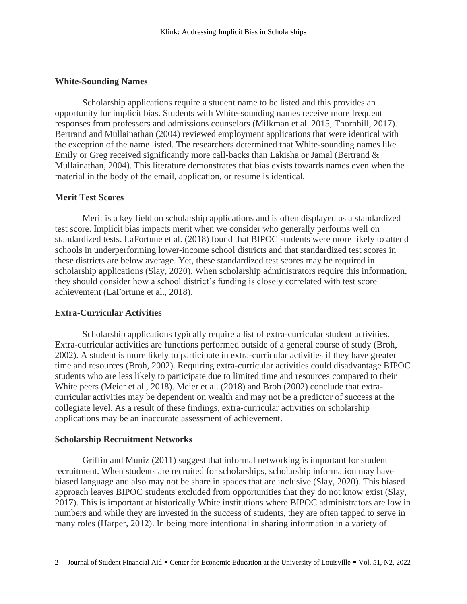#### **White-Sounding Names**

Scholarship applications require a student name to be listed and this provides an opportunity for implicit bias. Students with White-sounding names receive more frequent responses from professors and admissions counselors (Milkman et al. 2015, Thornhill, 2017). Bertrand and Mullainathan (2004) reviewed employment applications that were identical with the exception of the name listed. The researchers determined that White-sounding names like Emily or Greg received significantly more call-backs than Lakisha or Jamal (Bertrand & Mullainathan, 2004). This literature demonstrates that bias exists towards names even when the material in the body of the email, application, or resume is identical.

#### **Merit Test Scores**

Merit is a key field on scholarship applications and is often displayed as a standardized test score. Implicit bias impacts merit when we consider who generally performs well on standardized tests. LaFortune et al. (2018) found that BIPOC students were more likely to attend schools in underperforming lower-income school districts and that standardized test scores in these districts are below average. Yet, these standardized test scores may be required in scholarship applications (Slay, 2020). When scholarship administrators require this information, they should consider how a school district's funding is closely correlated with test score achievement (LaFortune et al., 2018).

#### **Extra-Curricular Activities**

Scholarship applications typically require a list of extra-curricular student activities. Extra-curricular activities are functions performed outside of a general course of study (Broh, 2002). A student is more likely to participate in extra-curricular activities if they have greater time and resources (Broh, 2002). Requiring extra-curricular activities could disadvantage BIPOC students who are less likely to participate due to limited time and resources compared to their White peers (Meier et al., 2018). Meier et al. (2018) and Broh (2002) conclude that extracurricular activities may be dependent on wealth and may not be a predictor of success at the collegiate level. As a result of these findings, extra-curricular activities on scholarship applications may be an inaccurate assessment of achievement.

#### **Scholarship Recruitment Networks**

Griffin and Muniz (2011) suggest that informal networking is important for student recruitment. When students are recruited for scholarships, scholarship information may have biased language and also may not be share in spaces that are inclusive (Slay, 2020). This biased approach leaves BIPOC students excluded from opportunities that they do not know exist (Slay, 2017). This is important at historically White institutions where BIPOC administrators are low in numbers and while they are invested in the success of students, they are often tapped to serve in many roles (Harper, 2012). In being more intentional in sharing information in a variety of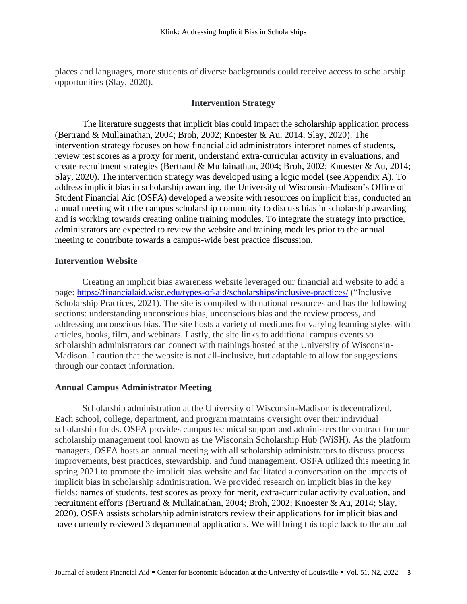places and languages, more students of diverse backgrounds could receive access to scholarship opportunities (Slay, 2020).

#### **Intervention Strategy**

The literature suggests that implicit bias could impact the scholarship application process (Bertrand & Mullainathan, 2004; Broh, 2002; Knoester & Au, 2014; Slay, 2020). The intervention strategy focuses on how financial aid administrators interpret names of students, review test scores as a proxy for merit, understand extra-curricular activity in evaluations, and create recruitment strategies (Bertrand & Mullainathan, 2004; Broh, 2002; Knoester & Au, 2014; Slay, 2020). The intervention strategy was developed using a logic model (see Appendix A). To address implicit bias in scholarship awarding, the University of Wisconsin-Madison's Office of Student Financial Aid (OSFA) developed a website with resources on implicit bias, conducted an annual meeting with the campus scholarship community to discuss bias in scholarship awarding and is working towards creating online training modules. To integrate the strategy into practice, administrators are expected to review the website and training modules prior to the annual meeting to contribute towards a campus-wide best practice discussion.

#### **Intervention Website**

Creating an implicit bias awareness website leveraged our financial aid website to add a page: <https://financialaid.wisc.edu/types-of-aid/scholarships/inclusive-practices/> ("Inclusive Scholarship Practices, 2021). The site is compiled with national resources and has the following sections: understanding unconscious bias, unconscious bias and the review process, and addressing unconscious bias. The site hosts a variety of mediums for varying learning styles with articles, books, film, and webinars. Lastly, the site links to additional campus events so scholarship administrators can connect with trainings hosted at the University of Wisconsin-Madison. I caution that the website is not all-inclusive, but adaptable to allow for suggestions through our contact information.

#### **Annual Campus Administrator Meeting**

Scholarship administration at the University of Wisconsin-Madison is decentralized. Each school, college, department, and program maintains oversight over their individual scholarship funds. OSFA provides campus technical support and administers the contract for our scholarship management tool known as the Wisconsin Scholarship Hub (WiSH). As the platform managers, OSFA hosts an annual meeting with all scholarship administrators to discuss process improvements, best practices, stewardship, and fund management. OSFA utilized this meeting in spring 2021 to promote the implicit bias website and facilitated a conversation on the impacts of implicit bias in scholarship administration. We provided research on implicit bias in the key fields: names of students, test scores as proxy for merit, extra-curricular activity evaluation, and recruitment efforts (Bertrand & Mullainathan, 2004; Broh, 2002; Knoester & Au, 2014; Slay, 2020). OSFA assists scholarship administrators review their applications for implicit bias and have currently reviewed 3 departmental applications. We will bring this topic back to the annual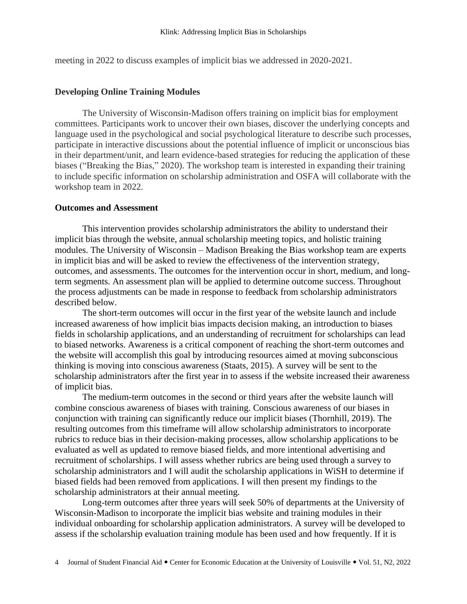meeting in 2022 to discuss examples of implicit bias we addressed in 2020-2021.

#### **Developing Online Training Modules**

The University of Wisconsin-Madison offers training on implicit bias for employment committees. Participants work to uncover their own biases, discover the underlying concepts and language used in the psychological and social psychological literature to describe such processes, participate in interactive discussions about the potential influence of implicit or unconscious bias in their department/unit, and learn evidence-based strategies for reducing the application of these biases ("Breaking the Bias," 2020). The workshop team is interested in expanding their training to include specific information on scholarship administration and OSFA will collaborate with the workshop team in 2022.

#### **Outcomes and Assessment**

This intervention provides scholarship administrators the ability to understand their implicit bias through the website, annual scholarship meeting topics, and holistic training modules. The University of Wisconsin – Madison Breaking the Bias workshop team are experts in implicit bias and will be asked to review the effectiveness of the intervention strategy, outcomes, and assessments. The outcomes for the intervention occur in short, medium, and longterm segments. An assessment plan will be applied to determine outcome success. Throughout the process adjustments can be made in response to feedback from scholarship administrators described below.

The short-term outcomes will occur in the first year of the website launch and include increased awareness of how implicit bias impacts decision making, an introduction to biases fields in scholarship applications, and an understanding of recruitment for scholarships can lead to biased networks. Awareness is a critical component of reaching the short-term outcomes and the website will accomplish this goal by introducing resources aimed at moving subconscious thinking is moving into conscious awareness (Staats, 2015). A survey will be sent to the scholarship administrators after the first year in to assess if the website increased their awareness of implicit bias.

The medium-term outcomes in the second or third years after the website launch will combine conscious awareness of biases with training. Conscious awareness of our biases in conjunction with training can significantly reduce our implicit biases (Thornhill, 2019). The resulting outcomes from this timeframe will allow scholarship administrators to incorporate rubrics to reduce bias in their decision-making processes, allow scholarship applications to be evaluated as well as updated to remove biased fields, and more intentional advertising and recruitment of scholarships. I will assess whether rubrics are being used through a survey to scholarship administrators and I will audit the scholarship applications in WiSH to determine if biased fields had been removed from applications. I will then present my findings to the scholarship administrators at their annual meeting.

Long-term outcomes after three years will seek 50% of departments at the University of Wisconsin-Madison to incorporate the implicit bias website and training modules in their individual onboarding for scholarship application administrators. A survey will be developed to assess if the scholarship evaluation training module has been used and how frequently. If it is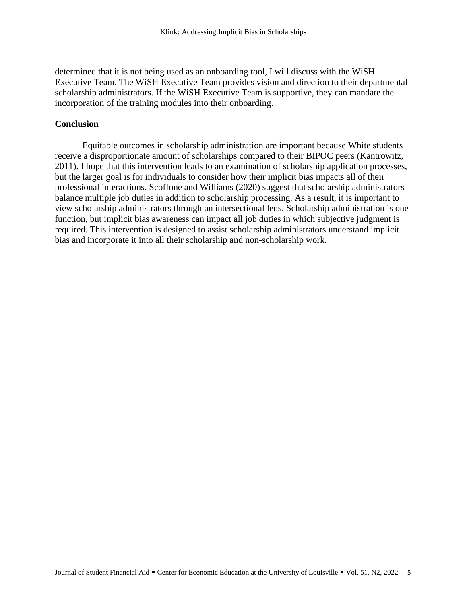determined that it is not being used as an onboarding tool, I will discuss with the WiSH Executive Team. The WiSH Executive Team provides vision and direction to their departmental scholarship administrators. If the WiSH Executive Team is supportive, they can mandate the incorporation of the training modules into their onboarding.

#### **Conclusion**

Equitable outcomes in scholarship administration are important because White students receive a disproportionate amount of scholarships compared to their BIPOC peers (Kantrowitz, 2011). I hope that this intervention leads to an examination of scholarship application processes, but the larger goal is for individuals to consider how their implicit bias impacts all of their professional interactions. Scoffone and Williams (2020) suggest that scholarship administrators balance multiple job duties in addition to scholarship processing. As a result, it is important to view scholarship administrators through an intersectional lens. Scholarship administration is one function, but implicit bias awareness can impact all job duties in which subjective judgment is required. This intervention is designed to assist scholarship administrators understand implicit bias and incorporate it into all their scholarship and non-scholarship work.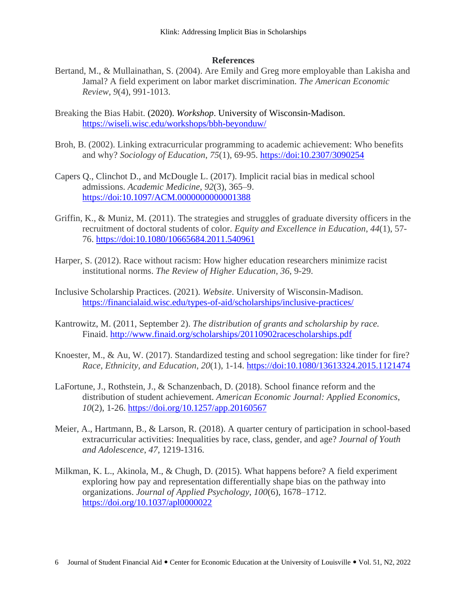## **References**

- Bertand, M., & Mullainathan, S. (2004). Are Emily and Greg more employable than Lakisha and Jamal? A field experiment on labor market discrimination. *The American Economic Review, 9*(4), 991-1013.
- Breaking the Bias Habit. (2020). *Workshop*. University of Wisconsin-Madison. <https://wiseli.wisc.edu/workshops/bbh-beyonduw/>
- Broh, B. (2002). Linking extracurricular programming to academic achievement: Who benefits and why? *Sociology of Education*, *75*(1), 69-95.<https://doi:10.2307/3090254>
- Capers Q., Clinchot D., and McDougle L. (2017). Implicit racial bias in medical school admissions. *Academic Medicine*, *92*(3), 365–9. <https://doi:10.1097/ACM.0000000000001388>
- Griffin, K., & Muniz, M. (2011). The strategies and struggles of graduate diversity officers in the recruitment of doctoral students of color. *Equity and Excellence in Education*, *44*(1), 57- 76.<https://doi:10.1080/10665684.2011.540961>
- Harper, S. (2012). Race without racism: How higher education researchers minimize racist institutional norms. *The Review of Higher Education*, *36*, 9-29.
- Inclusive Scholarship Practices. (2021). *Website*. University of Wisconsin-Madison. <https://financialaid.wisc.edu/types-of-aid/scholarships/inclusive-practices/>
- Kantrowitz, M. (2011, September 2). *The distribution of grants and scholarship by race.*  Finaid. <http://www.finaid.org/scholarships/20110902racescholarships.pdf>
- Knoester, M., & Au, W. (2017). Standardized testing and school segregation: like tinder for fire? *Race, Ethnicity, and Education*, *20*(1), 1-14. https://doi[:10.1080/13613324.2015.1121474](https://doi.org/10.1080/13613324.2015.1121474)
- LaFortune, J., Rothstein, J., & Schanzenbach, D. (2018). School finance reform and the distribution of student achievement. *American Economic Journal: Applied Economics*, *10*(2), 1-26.<https://doi.org/10.1257/app.20160567>
- Meier, A., Hartmann, B., & Larson, R. (2018). A quarter century of participation in school-based extracurricular activities: Inequalities by race, class, gender, and age? *Journal of Youth and Adolescence*, *47,* 1219-1316.
- Milkman, K. L., Akinola, M., & Chugh, D. (2015). What happens before? A field experiment exploring how pay and representation differentially shape bias on the pathway into organizations. *Journal of Applied Psychology*, *100*(6), 1678–1712. <https://doi.org/10.1037/apl0000022>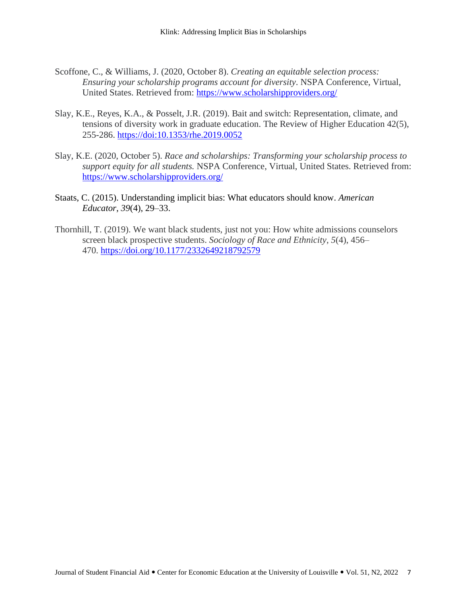- Scoffone, C., & Williams, J. (2020, October 8). *Creating an equitable selection process: Ensuring your scholarship programs account for diversity*. NSPA Conference, Virtual, United States. Retrieved from: <https://www.scholarshipproviders.org/>
- Slay, K.E., Reyes, K.A., & Posselt, J.R. (2019). Bait and switch: Representation, climate, and tensions of diversity work in graduate education. The Review of Higher Education 42(5), 255-286.<https://doi:10.1353/rhe.2019.0052>
- Slay, K.E. (2020, October 5). *Race and scholarships: Transforming your scholarship process to support equity for all students.* NSPA Conference, Virtual, United States. Retrieved from: <https://www.scholarshipproviders.org/>
- Staats, C. (2015). Understanding implicit bias: What educators should know. *American Educator*, *39*(4), 29–33.
- Thornhill, T. (2019). We want black students, just not you: How white admissions counselors screen black prospective students. *Sociology of Race and Ethnicity*, *5*(4), 456– 470. <https://doi.org/10.1177/2332649218792579>